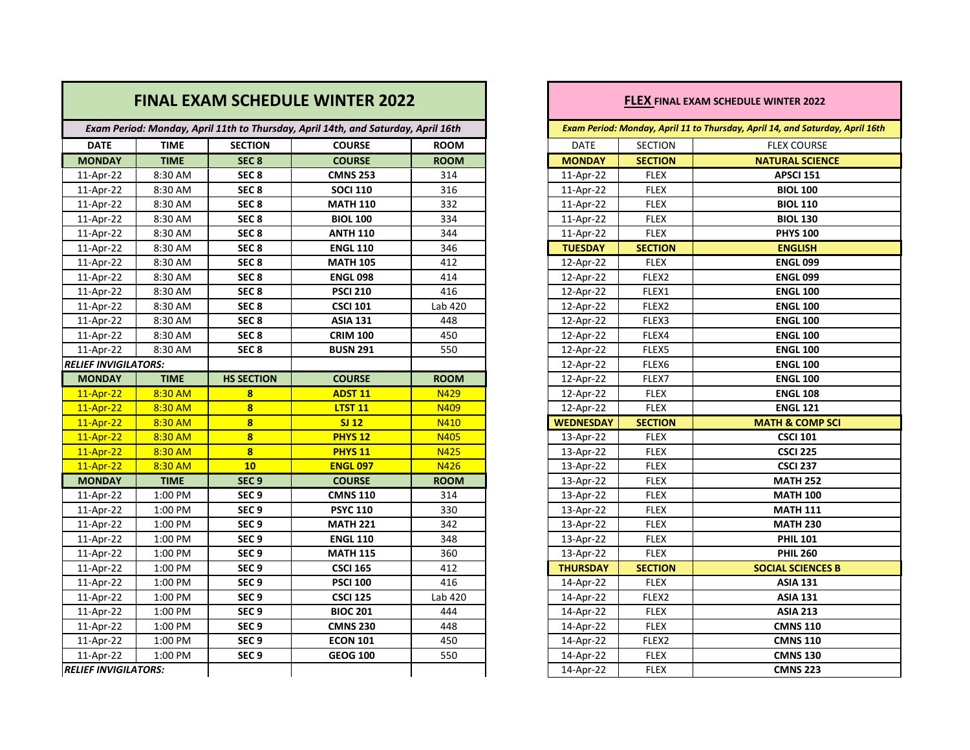| <b>FINAL EXAM SCHEDULE WINTER 2022</b> |                                                                                   |                         |                  |             |  |                  |                   | FLEX FINAL EXAM SCHEDULE WINTER 2022                               |
|----------------------------------------|-----------------------------------------------------------------------------------|-------------------------|------------------|-------------|--|------------------|-------------------|--------------------------------------------------------------------|
|                                        | Exam Period: Monday, April 11th to Thursday, April 14th, and Saturday, April 16th |                         |                  |             |  |                  |                   | Exam Period: Monday, April 11 to Thursday, April 14, and Saturday, |
| <b>DATE</b>                            | <b>TIME</b>                                                                       | <b>SECTION</b>          | <b>COURSE</b>    | <b>ROOM</b> |  | <b>DATE</b>      | <b>SECTION</b>    | <b>FLEX COURSE</b>                                                 |
| <b>MONDAY</b>                          | <b>TIME</b>                                                                       | SEC <sub>8</sub>        | <b>COURSE</b>    | <b>ROOM</b> |  | <b>MONDAY</b>    | <b>SECTION</b>    | <b>NATURAL SCIENCE</b>                                             |
| 11-Apr-22                              | 8:30 AM                                                                           | SEC <sub>8</sub>        | <b>CMNS 253</b>  | 314         |  | 11-Apr-22        | <b>FLEX</b>       | APSCI 151                                                          |
| 11-Apr-22                              | 8:30 AM                                                                           | SEC <sub>8</sub>        | <b>SOCI 110</b>  | 316         |  | 11-Apr-22        | <b>FLEX</b>       | <b>BIOL 100</b>                                                    |
| 11-Apr-22                              | 8:30 AM                                                                           | SEC <sub>8</sub>        | <b>MATH 110</b>  | 332         |  | 11-Apr-22        | <b>FLEX</b>       | <b>BIOL 110</b>                                                    |
| 11-Apr-22                              | 8:30 AM                                                                           | SEC <sub>8</sub>        | <b>BIOL 100</b>  | 334         |  | 11-Apr-22        | <b>FLEX</b>       | <b>BIOL 130</b>                                                    |
| 11-Apr-22                              | 8:30 AM                                                                           | SEC <sub>8</sub>        | <b>ANTH 110</b>  | 344         |  | 11-Apr-22        | <b>FLEX</b>       | <b>PHYS 100</b>                                                    |
| 11-Apr-22                              | 8:30 AM                                                                           | SEC <sub>8</sub>        | <b>ENGL 110</b>  | 346         |  | <b>TUESDAY</b>   | <b>SECTION</b>    | <b>ENGLISH</b>                                                     |
| 11-Apr-22                              | 8:30 AM                                                                           | SEC <sub>8</sub>        | <b>MATH 105</b>  | 412         |  | 12-Apr-22        | <b>FLEX</b>       | <b>ENGL 099</b>                                                    |
| 11-Apr-22                              | 8:30 AM                                                                           | SEC <sub>8</sub>        | <b>ENGL 098</b>  | 414         |  | 12-Apr-22        | FLEX <sub>2</sub> | <b>ENGL 099</b>                                                    |
| 11-Apr-22                              | 8:30 AM                                                                           | SEC <sub>8</sub>        | <b>PSCI 210</b>  | 416         |  | 12-Apr-22        | FLEX1             | <b>ENGL 100</b>                                                    |
| 11-Apr-22                              | 8:30 AM                                                                           | SEC <sub>8</sub>        | <b>CSCI 101</b>  | Lab 420     |  | 12-Apr-22        | FLEX2             | <b>ENGL 100</b>                                                    |
| 11-Apr-22                              | 8:30 AM                                                                           | SEC <sub>8</sub>        | <b>ASIA 131</b>  | 448         |  | 12-Apr-22        | FLEX3             | <b>ENGL 100</b>                                                    |
| 11-Apr-22                              | 8:30 AM                                                                           | SEC <sub>8</sub>        | <b>CRIM 100</b>  | 450         |  | 12-Apr-22        | FLEX4             | <b>ENGL 100</b>                                                    |
| 11-Apr-22                              | 8:30 AM                                                                           | SEC <sub>8</sub>        | <b>BUSN 291</b>  | 550         |  | 12-Apr-22        | FLEX5             | <b>ENGL 100</b>                                                    |
| <b>RELIEF INVIGILATORS:</b>            |                                                                                   |                         |                  |             |  | 12-Apr-22        | FLEX6             | <b>ENGL 100</b>                                                    |
| <b>MONDAY</b>                          | <b>TIME</b>                                                                       | <b>HS SECTION</b>       | <b>COURSE</b>    | <b>ROOM</b> |  | 12-Apr-22        | FLEX7             | <b>ENGL 100</b>                                                    |
| $11-Apr-22$                            | 8:30 AM                                                                           | $\overline{\mathbf{8}}$ | <b>ADST 11</b>   | <b>N429</b> |  | 12-Apr-22        | <b>FLEX</b>       | <b>ENGL 108</b>                                                    |
| $11-Apr-22$                            | 8:30 AM                                                                           | $\overline{\mathbf{8}}$ | <b>LTST 11</b>   | N409        |  | 12-Apr-22        | <b>FLEX</b>       | <b>ENGL 121</b>                                                    |
| $11-Apr-22$                            | 8:30 AM                                                                           | $\overline{\mathbf{8}}$ | SI <sub>12</sub> | N410        |  | <b>WEDNESDAY</b> | <b>SECTION</b>    | <b>MATH &amp; COMP SCI</b>                                         |
| $11-Apr-22$                            | 8:30 AM                                                                           | $\overline{\mathbf{8}}$ | <b>PHYS 12</b>   | <b>N405</b> |  | 13-Apr-22        | <b>FLEX</b>       | <b>CSCI 101</b>                                                    |
| $11-Apr-22$                            | 8:30 AM                                                                           | $\overline{\mathbf{8}}$ | <b>PHYS 11</b>   | <b>N425</b> |  | 13-Apr-22        | <b>FLEX</b>       | <b>CSCI 225</b>                                                    |
| $11-Apr-22$                            | 8:30 AM                                                                           | 10                      | <b>ENGL 097</b>  | <b>N426</b> |  | 13-Apr-22        | <b>FLEX</b>       | <b>CSCI 237</b>                                                    |
| <b>MONDAY</b>                          | <b>TIME</b>                                                                       | SEC <sub>9</sub>        | <b>COURSE</b>    | <b>ROOM</b> |  | 13-Apr-22        | <b>FLEX</b>       | <b>MATH 252</b>                                                    |
| 11-Apr-22                              | 1:00 PM                                                                           | SEC <sub>9</sub>        | <b>CMNS 110</b>  | 314         |  | 13-Apr-22        | <b>FLEX</b>       | <b>MATH 100</b>                                                    |
| 11-Apr-22                              | 1:00 PM                                                                           | SEC <sub>9</sub>        | <b>PSYC 110</b>  | 330         |  | 13-Apr-22        | <b>FLEX</b>       | <b>MATH 111</b>                                                    |
| 11-Apr-22                              | 1:00 PM                                                                           | SEC <sub>9</sub>        | <b>MATH 221</b>  | 342         |  | 13-Apr-22        | <b>FLEX</b>       | <b>MATH 230</b>                                                    |
| 11-Apr-22                              | 1:00 PM                                                                           | SEC <sub>9</sub>        | <b>ENGL 110</b>  | 348         |  | 13-Apr-22        | <b>FLEX</b>       | <b>PHIL 101</b>                                                    |
| 11-Apr-22                              | 1:00 PM                                                                           | SEC <sub>9</sub>        | <b>MATH 115</b>  | 360         |  | 13-Apr-22        | <b>FLEX</b>       | <b>PHIL 260</b>                                                    |
| 11-Apr-22                              | 1:00 PM                                                                           | SEC <sub>9</sub>        | <b>CSCI 165</b>  | 412         |  | <b>THURSDAY</b>  | <b>SECTION</b>    | <b>SOCIAL SCIENCES B</b>                                           |
| 11-Apr-22                              | 1:00 PM                                                                           | SEC <sub>9</sub>        | <b>PSCI 100</b>  | 416         |  | 14-Apr-22        | <b>FLEX</b>       | <b>ASIA 131</b>                                                    |
| 11-Apr-22                              | 1:00 PM                                                                           | SEC <sub>9</sub>        | <b>CSCI 125</b>  | Lab 420     |  | 14-Apr-22        | FLEX2             | <b>ASIA 131</b>                                                    |
| 11-Apr-22                              | 1:00 PM                                                                           | SEC <sub>9</sub>        | <b>BIOC 201</b>  | 444         |  | 14-Apr-22        | <b>FLEX</b>       | <b>ASIA 213</b>                                                    |
| 11-Apr-22                              | 1:00 PM                                                                           | SEC <sub>9</sub>        | <b>CMNS 230</b>  | 448         |  | 14-Apr-22        | <b>FLEX</b>       | <b>CMNS 110</b>                                                    |
| 11-Apr-22                              | 1:00 PM                                                                           | SEC <sub>9</sub>        | <b>ECON 101</b>  | 450         |  | 14-Apr-22        | FLEX2             | <b>CMNS 110</b>                                                    |
| 11-Apr-22                              | 1:00 PM                                                                           | SEC <sub>9</sub>        | <b>GEOG 100</b>  | 550         |  | 14-Apr-22        | <b>FLEX</b>       | <b>CMNS 130</b>                                                    |
| <b>RELIEF INVIGILATORS:</b>            |                                                                                   |                         |                  |             |  | 14-Apr-22        | <b>FLEX</b>       | <b>CMNS 223</b>                                                    |

| FLEX FINAL EXAM SCHEDULE WINTER 2022 |                                                                               |                            |  |  |  |  |  |  |
|--------------------------------------|-------------------------------------------------------------------------------|----------------------------|--|--|--|--|--|--|
|                                      | Exam Period: Monday, April 11 to Thursday, April 14, and Saturday, April 16th |                            |  |  |  |  |  |  |
| <b>DATE</b>                          | <b>SECTION</b>                                                                | <b>FLEX COURSE</b>         |  |  |  |  |  |  |
| <b>MONDAY</b>                        | <b>SECTION</b>                                                                | <b>NATURAL SCIENCE</b>     |  |  |  |  |  |  |
| 11-Apr-22                            | <b>FLEX</b>                                                                   | APSCI 151                  |  |  |  |  |  |  |
| 11-Apr-22                            | <b>FLEX</b>                                                                   | <b>BIOL 100</b>            |  |  |  |  |  |  |
| 11-Apr-22                            | <b>FLEX</b>                                                                   | <b>BIOL 110</b>            |  |  |  |  |  |  |
| 11-Apr-22                            | <b>FLEX</b>                                                                   | <b>BIOL 130</b>            |  |  |  |  |  |  |
| 11-Apr-22                            | <b>FLEX</b>                                                                   | <b>PHYS 100</b>            |  |  |  |  |  |  |
| <b>TUESDAY</b>                       | <b>SECTION</b>                                                                | <b>ENGLISH</b>             |  |  |  |  |  |  |
| 12-Apr-22                            | <b>FLEX</b>                                                                   | <b>ENGL 099</b>            |  |  |  |  |  |  |
| 12-Apr-22                            | FLEX <sub>2</sub>                                                             | <b>ENGL 099</b>            |  |  |  |  |  |  |
| 12-Apr-22                            | FLEX1                                                                         | <b>ENGL 100</b>            |  |  |  |  |  |  |
| 12-Apr-22                            | FLEX <sub>2</sub>                                                             | <b>ENGL 100</b>            |  |  |  |  |  |  |
| 12-Apr-22                            | FLEX3                                                                         | <b>ENGL 100</b>            |  |  |  |  |  |  |
| 12-Apr-22                            | FLEX4                                                                         | <b>ENGL 100</b>            |  |  |  |  |  |  |
| 12-Apr-22                            | FLEX5                                                                         | <b>ENGL 100</b>            |  |  |  |  |  |  |
| 12-Apr-22                            | FLEX6                                                                         | <b>ENGL 100</b>            |  |  |  |  |  |  |
| 12-Apr-22                            | FLEX7                                                                         | <b>ENGL 100</b>            |  |  |  |  |  |  |
| 12-Apr-22                            | <b>FLEX</b>                                                                   | <b>ENGL 108</b>            |  |  |  |  |  |  |
| 12-Apr-22                            | <b>FLEX</b>                                                                   | <b>ENGL 121</b>            |  |  |  |  |  |  |
| <b>WEDNESDAY</b>                     | <b>SECTION</b>                                                                | <b>MATH &amp; COMP SCI</b> |  |  |  |  |  |  |
| 13-Apr-22                            | <b>FLEX</b>                                                                   | <b>CSCI 101</b>            |  |  |  |  |  |  |
| 13-Apr-22                            | <b>FLEX</b>                                                                   | <b>CSCI 225</b>            |  |  |  |  |  |  |
| 13-Apr-22                            | <b>FLEX</b>                                                                   | <b>CSCI 237</b>            |  |  |  |  |  |  |
| 13-Apr-22                            | <b>FLEX</b>                                                                   | <b>MATH 252</b>            |  |  |  |  |  |  |
| 13-Apr-22                            | <b>FLEX</b>                                                                   | <b>MATH 100</b>            |  |  |  |  |  |  |
| 13-Apr-22                            | <b>FLEX</b>                                                                   | <b>MATH 111</b>            |  |  |  |  |  |  |
| 13-Apr-22                            | <b>FLEX</b>                                                                   | <b>MATH 230</b>            |  |  |  |  |  |  |
| 13-Apr-22                            | <b>FLEX</b>                                                                   | <b>PHIL 101</b>            |  |  |  |  |  |  |
| 13-Apr-22                            | <b>FLEX</b>                                                                   | <b>PHIL 260</b>            |  |  |  |  |  |  |
| <b>THURSDAY</b>                      | <b>SECTION</b>                                                                | <b>SOCIAL SCIENCES B</b>   |  |  |  |  |  |  |
| 14-Apr-22                            | <b>FLEX</b>                                                                   | <b>ASIA 131</b>            |  |  |  |  |  |  |
| 14-Apr-22                            | FLEX2                                                                         | <b>ASIA 131</b>            |  |  |  |  |  |  |
| 14-Apr-22                            | <b>FLEX</b>                                                                   | <b>ASIA 213</b>            |  |  |  |  |  |  |
| 14-Apr-22                            | <b>FLEX</b>                                                                   | <b>CMNS 110</b>            |  |  |  |  |  |  |
| 14-Apr-22                            | FLEX2                                                                         | <b>CMNS 110</b>            |  |  |  |  |  |  |
| 14-Apr-22                            | <b>FLEX</b>                                                                   | <b>CMNS 130</b>            |  |  |  |  |  |  |
| 14-Apr-22                            | <b>FLEX</b>                                                                   | <b>CMNS 223</b>            |  |  |  |  |  |  |

and the second control of the second control of the second control of the second control of the second control of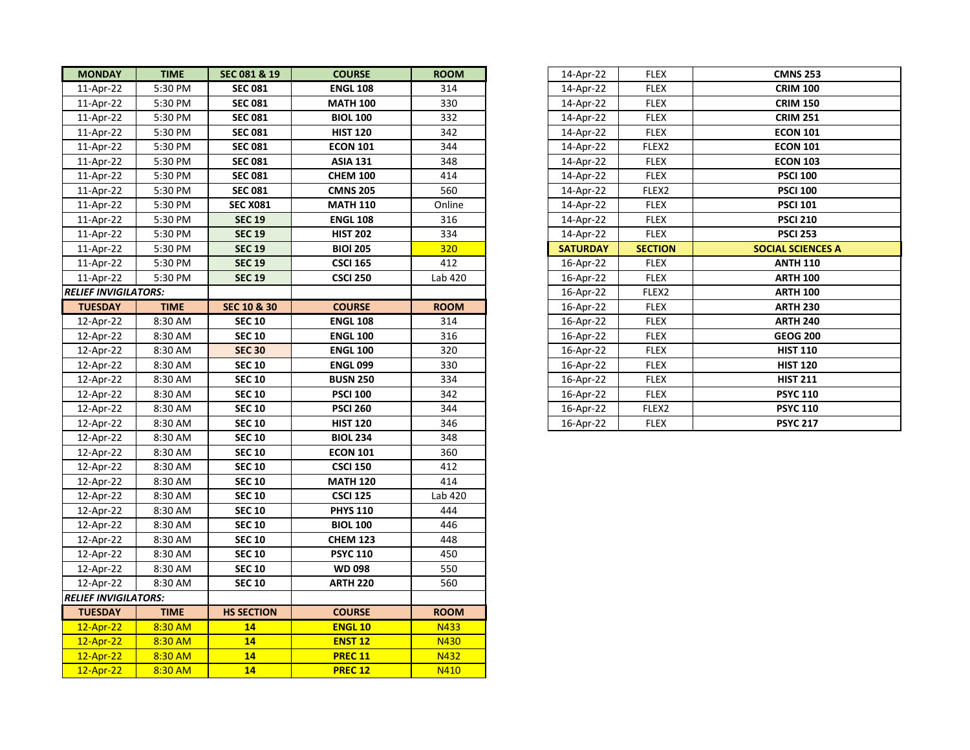| <b>MONDAY</b>               | <b>TIME</b> | SEC 081 & 19      | <b>COURSE</b>   | <b>ROOM</b> | 14-Apr-22       | FLEX           | <b>CMNS 253</b>          |
|-----------------------------|-------------|-------------------|-----------------|-------------|-----------------|----------------|--------------------------|
| 11-Apr-22                   | 5:30 PM     | <b>SEC 081</b>    | <b>ENGL 108</b> | 314         | 14-Apr-22       | <b>FLEX</b>    | <b>CRIM 100</b>          |
| 11-Apr-22                   | 5:30 PM     | <b>SEC 081</b>    | <b>MATH 100</b> | 330         | 14-Apr-22       | <b>FLEX</b>    | <b>CRIM 150</b>          |
| 11-Apr-22                   | 5:30 PM     | <b>SEC 081</b>    | <b>BIOL 100</b> | 332         | 14-Apr-22       | <b>FLEX</b>    | <b>CRIM 251</b>          |
| 11-Apr-22                   | 5:30 PM     | <b>SEC 081</b>    | <b>HIST 120</b> | 342         | 14-Apr-22       | <b>FLEX</b>    | <b>ECON 101</b>          |
| 11-Apr-22                   | 5:30 PM     | <b>SEC 081</b>    | <b>ECON 101</b> | 344         | 14-Apr-22       | FLEX2          | <b>ECON 101</b>          |
| 11-Apr-22                   | 5:30 PM     | <b>SEC 081</b>    | <b>ASIA 131</b> | 348         | 14-Apr-22       | <b>FLEX</b>    | <b>ECON 103</b>          |
| 11-Apr-22                   | 5:30 PM     | <b>SEC 081</b>    | <b>CHEM 100</b> | 414         | 14-Apr-22       | <b>FLEX</b>    | <b>PSCI 100</b>          |
| 11-Apr-22                   | 5:30 PM     | <b>SEC 081</b>    | <b>CMNS 205</b> | 560         | 14-Apr-22       | FLEX2          | <b>PSCI 100</b>          |
| 11-Apr-22                   | 5:30 PM     | <b>SEC X081</b>   | <b>MATH 110</b> | Online      | 14-Apr-22       | <b>FLEX</b>    | <b>PSCI 101</b>          |
| 11-Apr-22                   | 5:30 PM     | <b>SEC 19</b>     | <b>ENGL 108</b> | 316         | 14-Apr-22       | <b>FLEX</b>    | <b>PSCI 210</b>          |
| 11-Apr-22                   | 5:30 PM     | <b>SEC 19</b>     | <b>HIST 202</b> | 334         | 14-Apr-22       | <b>FLEX</b>    | <b>PSCI 253</b>          |
| 11-Apr-22                   | 5:30 PM     | <b>SEC 19</b>     | <b>BIOI 205</b> | 320         | <b>SATURDAY</b> | <b>SECTION</b> | <b>SOCIAL SCIENCES A</b> |
| 11-Apr-22                   | 5:30 PM     | <b>SEC 19</b>     | <b>CSCI 165</b> | 412         | 16-Apr-22       | <b>FLEX</b>    | <b>ANTH 110</b>          |
| 11-Apr-22                   | 5:30 PM     | <b>SEC 19</b>     | <b>CSCI 250</b> | Lab 420     | 16-Apr-22       | <b>FLEX</b>    | <b>ARTH 100</b>          |
| <b>RELIEF INVIGILATORS:</b> |             |                   |                 |             | 16-Apr-22       | FLEX2          | <b>ARTH 100</b>          |
| <b>TUESDAY</b>              | <b>TIME</b> | SEC 10 & 30       | <b>COURSE</b>   | <b>ROOM</b> | 16-Apr-22       | <b>FLEX</b>    | <b>ARTH 230</b>          |
| 12-Apr-22                   | 8:30 AM     | <b>SEC 10</b>     | <b>ENGL 108</b> | 314         | 16-Apr-22       | <b>FLEX</b>    | <b>ARTH 240</b>          |
| 12-Apr-22                   | 8:30 AM     | <b>SEC 10</b>     | <b>ENGL 100</b> | 316         | 16-Apr-22       | <b>FLEX</b>    | <b>GEOG 200</b>          |
| 12-Apr-22                   | 8:30 AM     | <b>SEC 30</b>     | <b>ENGL 100</b> | 320         | 16-Apr-22       | <b>FLEX</b>    | <b>HIST 110</b>          |
| 12-Apr-22                   | 8:30 AM     | <b>SEC 10</b>     | <b>ENGL 099</b> | 330         | 16-Apr-22       | <b>FLEX</b>    | <b>HIST 120</b>          |
| 12-Apr-22                   | 8:30 AM     | <b>SEC 10</b>     | <b>BUSN 250</b> | 334         | 16-Apr-22       | <b>FLEX</b>    | <b>HIST 211</b>          |
| 12-Apr-22                   | 8:30 AM     | <b>SEC 10</b>     | <b>PSCI 100</b> | 342         | 16-Apr-22       | <b>FLEX</b>    | <b>PSYC 110</b>          |
| 12-Apr-22                   | 8:30 AM     | <b>SEC 10</b>     | <b>PSCI 260</b> | 344         | 16-Apr-22       | FLEX2          | <b>PSYC 110</b>          |
| 12-Apr-22                   | 8:30 AM     | <b>SEC 10</b>     | <b>HIST 120</b> | 346         | 16-Apr-22       | <b>FLEX</b>    | <b>PSYC 217</b>          |
| 12-Apr-22                   | 8:30 AM     | <b>SEC 10</b>     | <b>BIOL 234</b> | 348         |                 |                |                          |
| 12-Apr-22                   | 8:30 AM     | <b>SEC 10</b>     | <b>ECON 101</b> | 360         |                 |                |                          |
| 12-Apr-22                   | 8:30 AM     | <b>SEC 10</b>     | <b>CSCI 150</b> | 412         |                 |                |                          |
| 12-Apr-22                   | 8:30 AM     | <b>SEC 10</b>     | <b>MATH 120</b> | 414         |                 |                |                          |
| 12-Apr-22                   | 8:30 AM     | <b>SEC 10</b>     | <b>CSCI 125</b> | Lab 420     |                 |                |                          |
| 12-Apr-22                   | 8:30 AM     | <b>SEC 10</b>     | <b>PHYS 110</b> | 444         |                 |                |                          |
| 12-Apr-22                   | 8:30 AM     | <b>SEC 10</b>     | <b>BIOL 100</b> | 446         |                 |                |                          |
| 12-Apr-22                   | 8:30 AM     | <b>SEC 10</b>     | <b>CHEM 123</b> | 448         |                 |                |                          |
| 12-Apr-22                   | 8:30 AM     | <b>SEC 10</b>     | <b>PSYC 110</b> | 450         |                 |                |                          |
| 12-Apr-22                   | 8:30 AM     | <b>SEC 10</b>     | <b>WD 098</b>   | 550         |                 |                |                          |
| 12-Apr-22                   | 8:30 AM     | <b>SEC 10</b>     | <b>ARTH 220</b> | 560         |                 |                |                          |
| <b>RELIEF INVIGILATORS:</b> |             |                   |                 |             |                 |                |                          |
| <b>TUESDAY</b>              | <b>TIME</b> | <b>HS SECTION</b> | <b>COURSE</b>   | <b>ROOM</b> |                 |                |                          |
| $12$ -Apr-22                | 8:30 AM     | 14                | <b>ENGL 10</b>  | N433        |                 |                |                          |
| $12$ -Apr-22                | 8:30 AM     | 14                | <b>ENST 12</b>  | N430        |                 |                |                          |
| 12-Apr-22                   | 8:30 AM     | 14                | <b>PREC 11</b>  | N432        |                 |                |                          |
| $12$ -Apr-22                | 8:30 AM     | 14                | <b>PREC 12</b>  | N410        |                 |                |                          |

| 14-Apr-22<br><b>CMNS 253</b><br><b>FLEX</b><br><b>CRIM 100</b><br>14-Apr-22<br><b>FLEX</b><br>14-Apr-22<br><b>CRIM 150</b><br><b>FLEX</b><br>14-Apr-22<br><b>FLEX</b><br><b>CRIM 251</b><br><b>ECON 101</b><br>14-Apr-22<br><b>FLEX</b><br><b>ECON 101</b><br>14-Apr-22<br>FLEX2<br>14-Apr-22<br><b>ECON 103</b><br><b>FLEX</b><br>14-Apr-22<br><b>PSCI 100</b><br><b>FLEX</b><br>14-Apr-22<br>FLEX2<br><b>PSCI 100</b><br>14-Apr-22<br><b>FLEX</b><br><b>PSCI 101</b><br>14-Apr-22<br><b>PSCI 210</b><br><b>FLEX</b><br>14-Apr-22<br><b>PSCI 253</b><br><b>FLEX</b><br><b>SATURDAY</b><br><b>SOCIAL SCIENCES A</b><br><b>SECTION</b><br>16-Apr-22<br><b>ANTH 110</b><br><b>FLEX</b><br>16-Apr-22<br><b>FLEX</b><br><b>ARTH 100</b><br>16-Apr-22<br><b>ARTH 100</b><br>FLEX2<br>16-Apr-22<br><b>ARTH 230</b><br><b>FLEX</b><br>16-Apr-22<br><b>ARTH 240</b><br><b>FLEX</b><br>16-Apr-22<br><b>GEOG 200</b><br><b>FLEX</b><br><b>HIST 110</b><br>16-Apr-22<br><b>FLEX</b><br>16-Apr-22<br><b>HIST 120</b><br><b>FLEX</b><br>16-Apr-22<br><b>HIST 211</b><br><b>FLEX</b><br>16-Apr-22<br><b>PSYC 110</b><br><b>FLEX</b><br>16-Apr-22<br><b>PSYC 110</b><br>FLEX <sub>2</sub><br>16-Apr-22<br><b>PSYC 217</b><br><b>FLEX</b> |  |  |
|---------------------------------------------------------------------------------------------------------------------------------------------------------------------------------------------------------------------------------------------------------------------------------------------------------------------------------------------------------------------------------------------------------------------------------------------------------------------------------------------------------------------------------------------------------------------------------------------------------------------------------------------------------------------------------------------------------------------------------------------------------------------------------------------------------------------------------------------------------------------------------------------------------------------------------------------------------------------------------------------------------------------------------------------------------------------------------------------------------------------------------------------------------------------------------------------------------------------------|--|--|
|                                                                                                                                                                                                                                                                                                                                                                                                                                                                                                                                                                                                                                                                                                                                                                                                                                                                                                                                                                                                                                                                                                                                                                                                                           |  |  |
|                                                                                                                                                                                                                                                                                                                                                                                                                                                                                                                                                                                                                                                                                                                                                                                                                                                                                                                                                                                                                                                                                                                                                                                                                           |  |  |
|                                                                                                                                                                                                                                                                                                                                                                                                                                                                                                                                                                                                                                                                                                                                                                                                                                                                                                                                                                                                                                                                                                                                                                                                                           |  |  |
|                                                                                                                                                                                                                                                                                                                                                                                                                                                                                                                                                                                                                                                                                                                                                                                                                                                                                                                                                                                                                                                                                                                                                                                                                           |  |  |
|                                                                                                                                                                                                                                                                                                                                                                                                                                                                                                                                                                                                                                                                                                                                                                                                                                                                                                                                                                                                                                                                                                                                                                                                                           |  |  |
|                                                                                                                                                                                                                                                                                                                                                                                                                                                                                                                                                                                                                                                                                                                                                                                                                                                                                                                                                                                                                                                                                                                                                                                                                           |  |  |
|                                                                                                                                                                                                                                                                                                                                                                                                                                                                                                                                                                                                                                                                                                                                                                                                                                                                                                                                                                                                                                                                                                                                                                                                                           |  |  |
|                                                                                                                                                                                                                                                                                                                                                                                                                                                                                                                                                                                                                                                                                                                                                                                                                                                                                                                                                                                                                                                                                                                                                                                                                           |  |  |
|                                                                                                                                                                                                                                                                                                                                                                                                                                                                                                                                                                                                                                                                                                                                                                                                                                                                                                                                                                                                                                                                                                                                                                                                                           |  |  |
|                                                                                                                                                                                                                                                                                                                                                                                                                                                                                                                                                                                                                                                                                                                                                                                                                                                                                                                                                                                                                                                                                                                                                                                                                           |  |  |
|                                                                                                                                                                                                                                                                                                                                                                                                                                                                                                                                                                                                                                                                                                                                                                                                                                                                                                                                                                                                                                                                                                                                                                                                                           |  |  |
|                                                                                                                                                                                                                                                                                                                                                                                                                                                                                                                                                                                                                                                                                                                                                                                                                                                                                                                                                                                                                                                                                                                                                                                                                           |  |  |
|                                                                                                                                                                                                                                                                                                                                                                                                                                                                                                                                                                                                                                                                                                                                                                                                                                                                                                                                                                                                                                                                                                                                                                                                                           |  |  |
|                                                                                                                                                                                                                                                                                                                                                                                                                                                                                                                                                                                                                                                                                                                                                                                                                                                                                                                                                                                                                                                                                                                                                                                                                           |  |  |
|                                                                                                                                                                                                                                                                                                                                                                                                                                                                                                                                                                                                                                                                                                                                                                                                                                                                                                                                                                                                                                                                                                                                                                                                                           |  |  |
|                                                                                                                                                                                                                                                                                                                                                                                                                                                                                                                                                                                                                                                                                                                                                                                                                                                                                                                                                                                                                                                                                                                                                                                                                           |  |  |
|                                                                                                                                                                                                                                                                                                                                                                                                                                                                                                                                                                                                                                                                                                                                                                                                                                                                                                                                                                                                                                                                                                                                                                                                                           |  |  |
|                                                                                                                                                                                                                                                                                                                                                                                                                                                                                                                                                                                                                                                                                                                                                                                                                                                                                                                                                                                                                                                                                                                                                                                                                           |  |  |
|                                                                                                                                                                                                                                                                                                                                                                                                                                                                                                                                                                                                                                                                                                                                                                                                                                                                                                                                                                                                                                                                                                                                                                                                                           |  |  |
|                                                                                                                                                                                                                                                                                                                                                                                                                                                                                                                                                                                                                                                                                                                                                                                                                                                                                                                                                                                                                                                                                                                                                                                                                           |  |  |
|                                                                                                                                                                                                                                                                                                                                                                                                                                                                                                                                                                                                                                                                                                                                                                                                                                                                                                                                                                                                                                                                                                                                                                                                                           |  |  |
|                                                                                                                                                                                                                                                                                                                                                                                                                                                                                                                                                                                                                                                                                                                                                                                                                                                                                                                                                                                                                                                                                                                                                                                                                           |  |  |
|                                                                                                                                                                                                                                                                                                                                                                                                                                                                                                                                                                                                                                                                                                                                                                                                                                                                                                                                                                                                                                                                                                                                                                                                                           |  |  |
|                                                                                                                                                                                                                                                                                                                                                                                                                                                                                                                                                                                                                                                                                                                                                                                                                                                                                                                                                                                                                                                                                                                                                                                                                           |  |  |
|                                                                                                                                                                                                                                                                                                                                                                                                                                                                                                                                                                                                                                                                                                                                                                                                                                                                                                                                                                                                                                                                                                                                                                                                                           |  |  |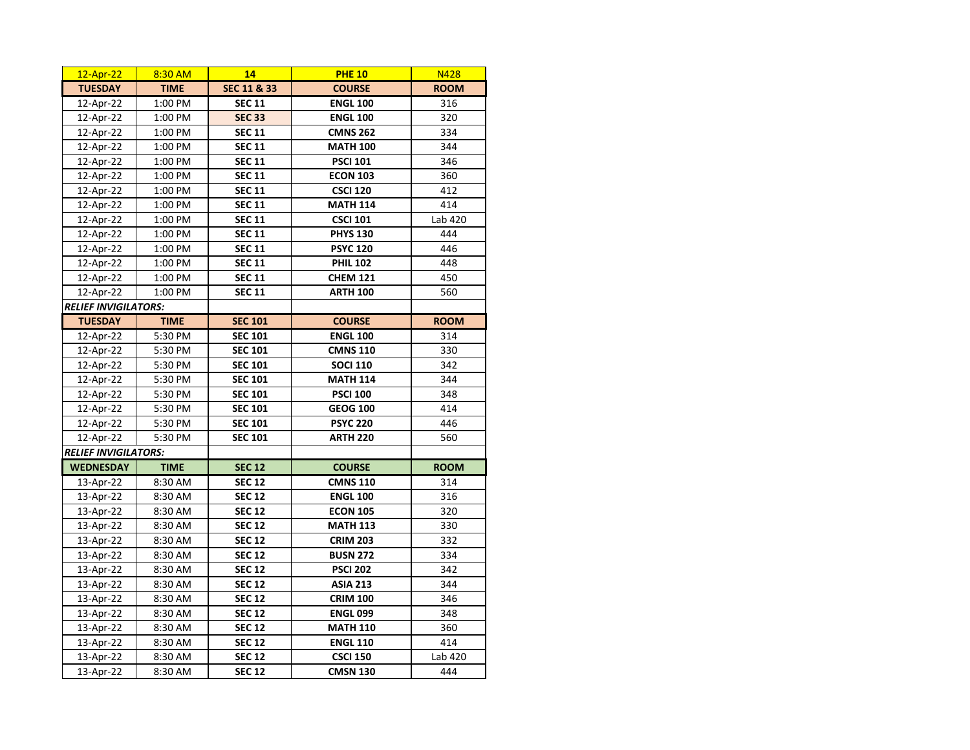| $12$ -Apr-22                | 8:30 AM     | 14             | <b>PHE 10</b>   | N428        |
|-----------------------------|-------------|----------------|-----------------|-------------|
| <b>TUESDAY</b>              | <b>TIME</b> | SEC 11 & 33    | <b>COURSE</b>   | <b>ROOM</b> |
| 12-Apr-22                   | 1:00 PM     | <b>SEC 11</b>  | <b>ENGL 100</b> | 316         |
| 12-Apr-22                   | 1:00 PM     | <b>SEC 33</b>  | <b>ENGL 100</b> | 320         |
| 12-Apr-22                   | 1:00 PM     | <b>SEC 11</b>  | <b>CMNS 262</b> | 334         |
| 12-Apr-22                   | 1:00 PM     | <b>SEC 11</b>  | <b>MATH 100</b> | 344         |
| 12-Apr-22                   | 1:00 PM     | <b>SEC 11</b>  | <b>PSCI 101</b> | 346         |
| 12-Apr-22                   | 1:00 PM     | <b>SEC 11</b>  | <b>ECON 103</b> | 360         |
| 12-Apr-22                   | 1:00 PM     | <b>SEC 11</b>  | <b>CSCI 120</b> | 412         |
| 12-Apr-22                   | 1:00 PM     | <b>SEC 11</b>  | <b>MATH 114</b> | 414         |
| 12-Apr-22                   | 1:00 PM     | <b>SEC 11</b>  | <b>CSCI 101</b> | Lab 420     |
| 12-Apr-22                   | 1:00 PM     | <b>SEC 11</b>  | <b>PHYS 130</b> | 444         |
| 12-Apr-22                   | 1:00 PM     | <b>SEC 11</b>  | <b>PSYC 120</b> | 446         |
| 12-Apr-22                   | 1:00 PM     | <b>SEC 11</b>  | <b>PHIL 102</b> | 448         |
| 12-Apr-22                   | 1:00 PM     | <b>SEC 11</b>  | <b>CHEM 121</b> | 450         |
| 12-Apr-22                   | 1:00 PM     | <b>SEC 11</b>  | <b>ARTH 100</b> | 560         |
| <b>RELIEF INVIGILATORS:</b> |             |                |                 |             |
| <b>TUESDAY</b>              | <b>TIME</b> | <b>SEC 101</b> | <b>COURSE</b>   | <b>ROOM</b> |
| 12-Apr-22                   | 5:30 PM     | <b>SEC 101</b> | <b>ENGL 100</b> | 314         |
| 12-Apr-22                   | 5:30 PM     | <b>SEC 101</b> | <b>CMNS 110</b> | 330         |
| 12-Apr-22                   | 5:30 PM     | <b>SEC 101</b> | <b>SOCI 110</b> | 342         |
| 12-Apr-22                   | 5:30 PM     | <b>SEC 101</b> | <b>MATH 114</b> | 344         |
| 12-Apr-22                   | 5:30 PM     | <b>SEC 101</b> | <b>PSCI 100</b> | 348         |
| 12-Apr-22                   | 5:30 PM     | <b>SEC 101</b> | <b>GEOG 100</b> | 414         |
| 12-Apr-22                   | 5:30 PM     | <b>SEC 101</b> | <b>PSYC 220</b> | 446         |
| 12-Apr-22                   | 5:30 PM     | <b>SEC 101</b> | <b>ARTH 220</b> | 560         |
| <b>RELIEF INVIGILATORS:</b> |             |                |                 |             |
| <b>WEDNESDAY</b>            | <b>TIME</b> | <b>SEC 12</b>  | <b>COURSE</b>   | <b>ROOM</b> |
| 13-Apr-22                   | 8:30 AM     | <b>SEC 12</b>  | <b>CMNS 110</b> | 314         |
| 13-Apr-22                   | 8:30 AM     | <b>SEC 12</b>  | <b>ENGL 100</b> | 316         |
| 13-Apr-22                   | 8:30 AM     | <b>SEC 12</b>  | <b>ECON 105</b> | 320         |
| 13-Apr-22                   | 8:30 AM     | <b>SEC 12</b>  | <b>MATH 113</b> | 330         |
| 13-Apr-22                   | 8:30 AM     | <b>SEC 12</b>  | <b>CRIM 203</b> | 332         |
| 13-Apr-22                   | 8:30 AM     | <b>SEC 12</b>  | <b>BUSN 272</b> | 334         |
| 13-Apr-22                   | 8:30 AM     | <b>SEC 12</b>  | <b>PSCI 202</b> | 342         |
| 13-Apr-22                   | 8:30 AM     | <b>SEC 12</b>  | <b>ASIA 213</b> | 344         |
| 13-Apr-22                   | 8:30 AM     | <b>SEC 12</b>  | <b>CRIM 100</b> | 346         |
| 13-Apr-22                   | 8:30 AM     | <b>SEC 12</b>  | <b>ENGL 099</b> | 348         |
| 13-Apr-22                   | 8:30 AM     | <b>SEC 12</b>  | <b>MATH 110</b> | 360         |
| 13-Apr-22                   | 8:30 AM     | <b>SEC 12</b>  | <b>ENGL 110</b> | 414         |
| 13-Apr-22                   | 8:30 AM     | <b>SEC 12</b>  | <b>CSCI 150</b> | Lab 420     |
| 13-Apr-22                   | 8:30 AM     | <b>SEC 12</b>  | <b>CMSN 130</b> | 444         |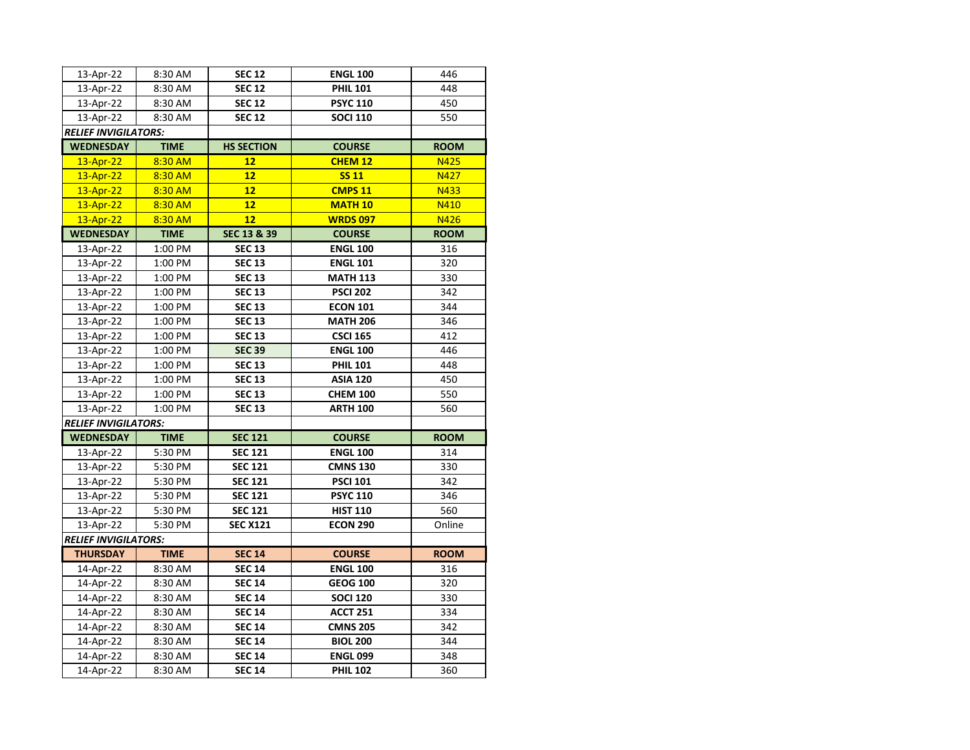| 13-Apr-22                   | 8:30 AM     | <b>SEC 12</b>     | <b>ENGL 100</b> | 446         |
|-----------------------------|-------------|-------------------|-----------------|-------------|
| 13-Apr-22                   | 8:30 AM     | <b>SEC 12</b>     | <b>PHIL 101</b> | 448         |
| 13-Apr-22                   | 8:30 AM     | <b>SEC 12</b>     | <b>PSYC 110</b> | 450         |
| 13-Apr-22                   | 8:30 AM     | <b>SEC 12</b>     | <b>SOCI 110</b> | 550         |
| <b>RELIEF INVIGILATORS:</b> |             |                   |                 |             |
| <b>WEDNESDAY</b>            | <b>TIME</b> | <b>HS SECTION</b> | <b>COURSE</b>   | <b>ROOM</b> |
| $13$ -Apr-22                | 8:30 AM     | 12                | <b>CHEM 12</b>  | <b>N425</b> |
| $13$ -Apr-22                | 8:30 AM     | 12                | <b>SS 11</b>    | N427        |
| 13-Apr-22                   | 8:30 AM     | 12                | <b>CMPS 11</b>  | N433        |
| 13-Apr-22                   | 8:30 AM     | 12                | <b>MATH 10</b>  | N410        |
| 13-Apr-22                   | 8:30 AM     | 12                | <b>WRDS 097</b> | <b>N426</b> |
| <b>WEDNESDAY</b>            | <b>TIME</b> | SEC 13 & 39       | <b>COURSE</b>   | <b>ROOM</b> |
| 13-Apr-22                   | 1:00 PM     | <b>SEC 13</b>     | <b>ENGL 100</b> | 316         |
| 13-Apr-22                   | 1:00 PM     | <b>SEC 13</b>     | <b>ENGL 101</b> | 320         |
| 13-Apr-22                   | 1:00 PM     | <b>SEC 13</b>     | <b>MATH 113</b> | 330         |
| 13-Apr-22                   | 1:00 PM     | <b>SEC 13</b>     | <b>PSCI 202</b> | 342         |
| 13-Apr-22                   | 1:00 PM     | <b>SEC 13</b>     | <b>ECON 101</b> | 344         |
| 13-Apr-22                   | 1:00 PM     | <b>SEC 13</b>     | <b>MATH 206</b> | 346         |
| 13-Apr-22                   | 1:00 PM     | <b>SEC 13</b>     | <b>CSCI 165</b> | 412         |
| 13-Apr-22                   | 1:00 PM     | <b>SEC 39</b>     | <b>ENGL 100</b> | 446         |
| 13-Apr-22                   | 1:00 PM     | <b>SEC 13</b>     | <b>PHIL 101</b> | 448         |
| 13-Apr-22                   | 1:00 PM     | <b>SEC 13</b>     | <b>ASIA 120</b> | 450         |
| 13-Apr-22                   | 1:00 PM     | <b>SEC 13</b>     | <b>CHEM 100</b> | 550         |
| 13-Apr-22                   | 1:00 PM     | <b>SEC 13</b>     | <b>ARTH 100</b> | 560         |
| <b>RELIEF INVIGILATORS:</b> |             |                   |                 |             |
| <b>WEDNESDAY</b>            | <b>TIME</b> | <b>SEC 121</b>    | <b>COURSE</b>   | <b>ROOM</b> |
| 13-Apr-22                   | 5:30 PM     | <b>SEC 121</b>    | <b>ENGL 100</b> | 314         |
| 13-Apr-22                   | 5:30 PM     | <b>SEC 121</b>    | <b>CMNS 130</b> | 330         |
| 13-Apr-22                   | 5:30 PM     | <b>SEC 121</b>    | <b>PSCI 101</b> | 342         |
| 13-Apr-22                   | 5:30 PM     | <b>SEC 121</b>    | <b>PSYC 110</b> | 346         |
| 13-Apr-22                   | 5:30 PM     | <b>SEC 121</b>    | <b>HIST 110</b> | 560         |
| 13-Apr-22                   | 5:30 PM     | <b>SEC X121</b>   | <b>ECON 290</b> | Online      |
| RELIEF INVIGILATORS:        |             |                   |                 |             |
| <b>THURSDAY</b>             | <b>TIME</b> | <b>SEC 14</b>     | <b>COURSE</b>   | <b>ROOM</b> |
| 14-Apr-22                   | 8:30 AM     | <b>SEC 14</b>     | <b>ENGL 100</b> | 316         |
| 14-Apr-22                   | 8:30 AM     | <b>SEC 14</b>     | <b>GEOG 100</b> | 320         |
| 14-Apr-22                   | 8:30 AM     | <b>SEC 14</b>     | <b>SOCI 120</b> | 330         |
| 14-Apr-22                   | 8:30 AM     | <b>SEC 14</b>     | <b>ACCT 251</b> | 334         |
| 14-Apr-22                   | 8:30 AM     | <b>SEC 14</b>     | <b>CMNS 205</b> | 342         |
| 14-Apr-22                   | 8:30 AM     | <b>SEC 14</b>     | <b>BIOL 200</b> | 344         |
| 14-Apr-22                   | 8:30 AM     | <b>SEC 14</b>     | <b>ENGL 099</b> | 348         |
| 14-Apr-22                   | 8:30 AM     | <b>SEC 14</b>     | <b>PHIL 102</b> | 360         |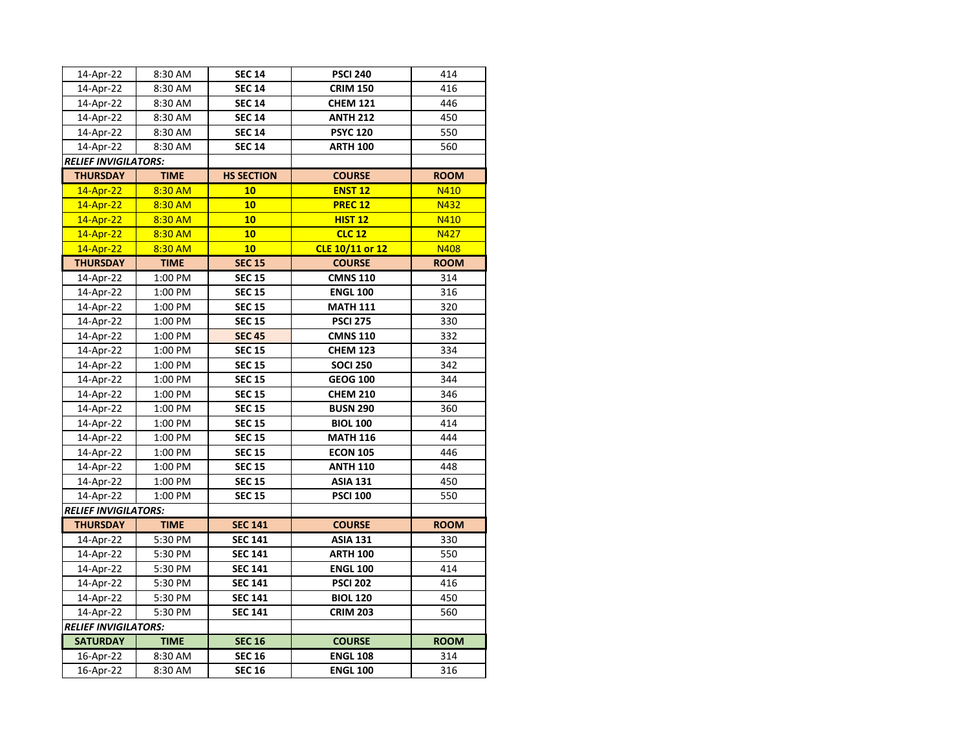| 14-Apr-22                   | 8:30 AM     | <b>SEC 14</b>                    | <b>PSCI 240</b> | 414         |
|-----------------------------|-------------|----------------------------------|-----------------|-------------|
| 14-Apr-22                   | 8:30 AM     | <b>SEC 14</b>                    | <b>CRIM 150</b> | 416         |
| 14-Apr-22                   | 8:30 AM     | <b>SEC 14</b>                    | <b>CHEM 121</b> |             |
| 14-Apr-22                   | 8:30 AM     | <b>SEC 14</b><br><b>ANTH 212</b> |                 | 450         |
| 14-Apr-22                   | 8:30 AM     | <b>SEC 14</b>                    | <b>PSYC 120</b> | 550         |
| 14-Apr-22                   | 8:30 AM     | <b>SEC 14</b>                    | <b>ARTH 100</b> | 560         |
| RELIEF INVIGILATORS:        |             |                                  |                 |             |
| <b>THURSDAY</b>             | <b>TIME</b> | <b>HS SECTION</b>                | <b>COURSE</b>   | <b>ROOM</b> |
| 14-Apr-22                   | 8:30 AM     | 10                               | <b>ENST 12</b>  | N410        |
| 14-Apr-22                   | 8:30 AM     | 10                               | <b>PREC 12</b>  | <b>N432</b> |
| 14-Apr-22                   | 8:30 AM     | 10                               | <b>HIST 12</b>  | N410        |
| $14$ -Apr-22                | 8:30 AM     | 10                               | <b>CLC 12</b>   | N427        |
| 14-Apr-22                   | 8:30 AM     | 10                               | CLE 10/11 or 12 | N408        |
| <b>THURSDAY</b>             | <b>TIME</b> | <b>SEC 15</b>                    | <b>COURSE</b>   | <b>ROOM</b> |
| 14-Apr-22                   | 1:00 PM     | <b>SEC 15</b>                    | <b>CMNS 110</b> | 314         |
| 14-Apr-22                   | 1:00 PM     | <b>SEC 15</b>                    | <b>ENGL 100</b> | 316         |
| 14-Apr-22                   | 1:00 PM     | <b>SEC 15</b>                    | <b>MATH 111</b> | 320         |
| 14-Apr-22                   | 1:00 PM     | <b>SEC 15</b>                    | <b>PSCI 275</b> | 330         |
| 14-Apr-22                   | 1:00 PM     | <b>SEC 45</b>                    | <b>CMNS 110</b> | 332         |
| 14-Apr-22                   | 1:00 PM     | <b>SEC 15</b>                    | <b>CHEM 123</b> | 334         |
| 14-Apr-22                   | 1:00 PM     | <b>SEC 15</b>                    | <b>SOCI 250</b> | 342         |
| 14-Apr-22                   | 1:00 PM     | <b>SEC 15</b>                    | <b>GEOG 100</b> | 344         |
| 14-Apr-22                   | 1:00 PM     | <b>SEC 15</b>                    | <b>CHEM 210</b> | 346         |
| 14-Apr-22                   | 1:00 PM     | <b>SEC 15</b>                    | <b>BUSN 290</b> | 360         |
| 14-Apr-22                   | 1:00 PM     | <b>SEC 15</b>                    | <b>BIOL 100</b> | 414         |
| 14-Apr-22                   | 1:00 PM     | <b>SEC 15</b>                    | <b>MATH 116</b> | 444         |
| 14-Apr-22                   | 1:00 PM     | <b>SEC 15</b>                    | <b>ECON 105</b> | 446         |
| 14-Apr-22                   | 1:00 PM     | <b>SEC 15</b>                    | <b>ANTH 110</b> | 448         |
| 14-Apr-22                   | 1:00 PM     | <b>SEC 15</b>                    | <b>ASIA 131</b> | 450         |
| 14-Apr-22                   | 1:00 PM     | <b>SEC 15</b>                    | <b>PSCI 100</b> | 550         |
| <b>RELIEF INVIGILATORS:</b> |             |                                  |                 |             |
| <b>THURSDAY</b>             | <b>TIME</b> | <b>SEC 141</b>                   | <b>COURSE</b>   | <b>ROOM</b> |
| 14-Apr-22                   | 5:30 PM     | <b>SEC 141</b>                   | <b>ASIA 131</b> | 330         |
| 14-Apr-22                   | 5:30 PM     | <b>SEC 141</b>                   | <b>ARTH 100</b> | 550         |
| 14-Apr-22                   | 5:30 PM     | <b>SEC 141</b>                   | <b>ENGL 100</b> | 414         |
| 14-Apr-22                   | 5:30 PM     | <b>SEC 141</b>                   | <b>PSCI 202</b> | 416         |
| 14-Apr-22                   | 5:30 PM     | <b>SEC 141</b>                   | <b>BIOL 120</b> | 450         |
| 14-Apr-22                   | 5:30 PM     | <b>SEC 141</b>                   | <b>CRIM 203</b> | 560         |
| <b>RELIEF INVIGILATORS:</b> |             |                                  |                 |             |
| <b>SATURDAY</b>             | <b>TIME</b> | <b>SEC 16</b>                    | <b>COURSE</b>   | <b>ROOM</b> |
| 16-Apr-22                   | 8:30 AM     | <b>SEC 16</b>                    | <b>ENGL 108</b> | 314         |
| 16-Apr-22                   | 8:30 AM     | <b>SEC 16</b>                    | <b>ENGL 100</b> | 316         |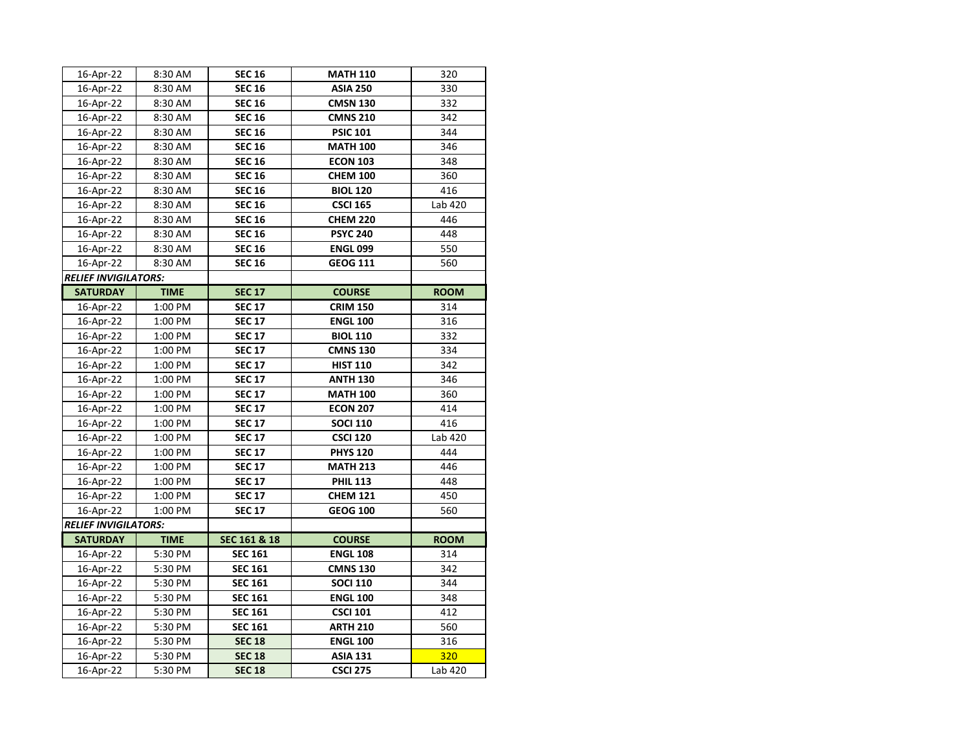| 16-Apr-22                   | 8:30 AM     | <b>SEC 16</b>  | <b>MATH 110</b> | 320         |
|-----------------------------|-------------|----------------|-----------------|-------------|
| 16-Apr-22                   | 8:30 AM     | <b>SEC 16</b>  | <b>ASIA 250</b> | 330         |
| 16-Apr-22                   | 8:30 AM     | <b>SEC 16</b>  | <b>CMSN 130</b> | 332         |
| 16-Apr-22                   | 8:30 AM     | <b>SEC 16</b>  | <b>CMNS 210</b> | 342         |
| 16-Apr-22                   | 8:30 AM     | <b>SEC 16</b>  | <b>PSIC 101</b> | 344         |
| 16-Apr-22                   | 8:30 AM     | <b>SEC 16</b>  | <b>MATH 100</b> | 346         |
| 16-Apr-22                   | 8:30 AM     | <b>SEC 16</b>  | <b>ECON 103</b> | 348         |
| 16-Apr-22                   | 8:30 AM     | <b>SEC 16</b>  | <b>CHEM 100</b> | 360         |
| 16-Apr-22                   | 8:30 AM     | <b>SEC 16</b>  | <b>BIOL 120</b> | 416         |
| 16-Apr-22                   | 8:30 AM     | <b>SEC 16</b>  | <b>CSCI 165</b> | Lab 420     |
| 16-Apr-22                   | 8:30 AM     | <b>SEC 16</b>  | <b>CHEM 220</b> | 446         |
| 16-Apr-22                   | 8:30 AM     | <b>SEC 16</b>  | <b>PSYC 240</b> | 448         |
| 16-Apr-22                   | 8:30 AM     | <b>SEC 16</b>  | <b>ENGL 099</b> | 550         |
| 16-Apr-22                   | 8:30 AM     | <b>SEC 16</b>  | <b>GEOG 111</b> | 560         |
| <b>RELIEF INVIGILATORS:</b> |             |                |                 |             |
| <b>SATURDAY</b>             | <b>TIME</b> | <b>SEC 17</b>  | <b>COURSE</b>   | <b>ROOM</b> |
| 16-Apr-22                   | 1:00 PM     | <b>SEC 17</b>  | <b>CRIM 150</b> | 314         |
| 16-Apr-22                   | 1:00 PM     | <b>SEC 17</b>  | <b>ENGL 100</b> | 316         |
| 16-Apr-22                   | 1:00 PM     | <b>SEC 17</b>  | <b>BIOL 110</b> | 332         |
| 16-Apr-22                   | 1:00 PM     | <b>SEC 17</b>  | <b>CMNS 130</b> | 334         |
| 16-Apr-22                   | 1:00 PM     | <b>SEC 17</b>  | <b>HIST 110</b> | 342         |
| 16-Apr-22                   | 1:00 PM     | <b>SEC 17</b>  | <b>ANTH 130</b> | 346         |
| 16-Apr-22                   | 1:00 PM     | <b>SEC 17</b>  | <b>MATH 100</b> | 360         |
| 16-Apr-22                   | 1:00 PM     | <b>SEC 17</b>  | <b>ECON 207</b> | 414         |
| 16-Apr-22                   | 1:00 PM     | <b>SEC 17</b>  | <b>SOCI 110</b> | 416         |
| 16-Apr-22                   | 1:00 PM     | <b>SEC 17</b>  | <b>CSCI 120</b> | Lab 420     |
| 16-Apr-22                   | 1:00 PM     | <b>SEC 17</b>  | <b>PHYS 120</b> | 444         |
| 16-Apr-22                   | 1:00 PM     | <b>SEC 17</b>  | <b>MATH 213</b> | 446         |
| 16-Apr-22                   | 1:00 PM     | <b>SEC 17</b>  | <b>PHIL 113</b> | 448         |
| 16-Apr-22                   | 1:00 PM     | <b>SEC 17</b>  | <b>CHEM 121</b> | 450         |
| 16-Apr-22                   | 1:00 PM     | <b>SEC 17</b>  | <b>GEOG 100</b> | 560         |
| <b>RELIEF INVIGILATORS:</b> |             |                |                 |             |
| <b>SATURDAY</b>             | <b>TIME</b> | SEC 161 & 18   | <b>COURSE</b>   | <b>ROOM</b> |
| 16-Apr-22                   | 5:30 PM     | <b>SEC 161</b> | <b>ENGL 108</b> | 314         |
| 16-Apr-22                   | 5:30 PM     | <b>SEC 161</b> | <b>CMNS 130</b> | 342         |
| 16-Apr-22                   | 5:30 PM     | <b>SEC 161</b> | <b>SOCI 110</b> | 344         |
| 16-Apr-22                   | 5:30 PM     | <b>SEC 161</b> | <b>ENGL 100</b> | 348         |
| 16-Apr-22                   | 5:30 PM     | <b>SEC 161</b> | <b>CSCI 101</b> | 412         |
| 16-Apr-22                   | 5:30 PM     | <b>SEC 161</b> | <b>ARTH 210</b> | 560         |
| 16-Apr-22                   | 5:30 PM     | <b>SEC 18</b>  | <b>ENGL 100</b> | 316         |
| 16-Apr-22                   | 5:30 PM     | <b>SEC 18</b>  | <b>ASIA 131</b> | 320         |
| 16-Apr-22                   | 5:30 PM     | <b>SEC 18</b>  | <b>CSCI 275</b> | Lab 420     |